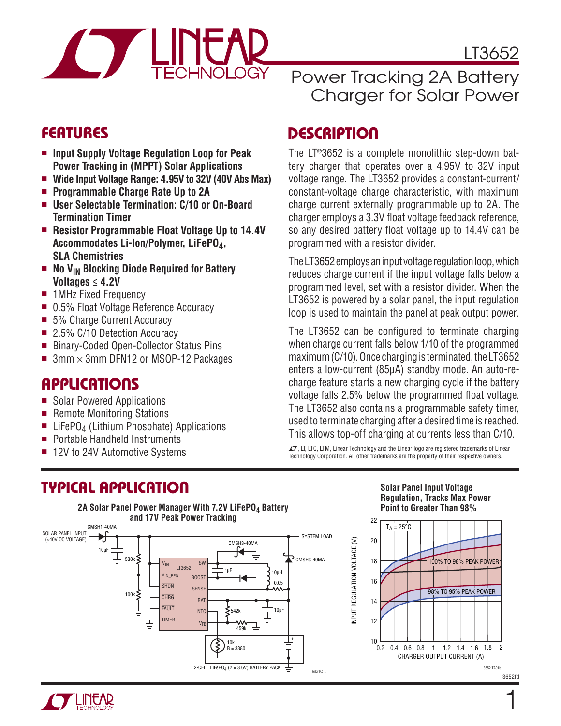

LT3652

### **FEATURES**

- Input Supply Voltage Regulation Loop for Peak **Power Tracking in (MPPT) Solar Applications**
- Wide Input Voltage Range: 4.95V to 32V (40V Abs Max)
- Programmable Charge Rate Up to 2A
- User Selectable Termination: C/10 or On-Board **Termination Timer**
- Resistor Programmable Float Voltage Up to 14.4V **Accommodates Li-Ion/Polymer, LiFePO4, SLA Chemistries**
- No V<sub>IN</sub> Blocking Diode Required for Battery **Voltages ≤ 4.2V**
- **n** 1MHz Fixed Frequency
- 0.5% Float Voltage Reference Accuracy
- 5% Charge Current Accuracy
- 2.5% C/10 Detection Accuracy
- Binary-Coded Open-Collector Status Pins
- $\blacksquare$  3mm  $\times$  3mm DFN12 or MSOP-12 Packages

## **APPLICATIONS**

- Solar Powered Applications
- Remote Monitoring Stations
- EliFePO<sub>4</sub> (Lithium Phosphate) Applications
- Portable Handheld Instruments
- 12V to 24V Automotive Systems

# **TYPICAL APPLICATION**

#### 2A Solar Panel Power Manager With 7.2V LiFePO<sub>4</sub> Battery **and 17V Peak Power Tracking** CMSH1-40MA



# Power Tracking 2A Battery Charger for Solar Power

# **DESCRIPTION**

The LT®3652 is a complete monolithic step-down battery charger that operates over a 4.95V to 32V input voltage range. The LT3652 provides a constant-current/ constant-voltage charge characteristic, with maximum charge current externally programmable up to 2A. The charger employs a 3.3V float voltage feedback reference. so any desired battery float voltage up to 14.4V can be programmed with a resistor divider.

The LT3652 employs an input voltage regulation loop, which reduces charge current if the input voltage falls below a programmed level, set with a resistor divider. When the LT3652 is powered by a solar panel, the input regulation loop is used to maintain the panel at peak output power.

The LT3652 can be configured to terminate charging when charge current falls below 1/10 of the programmed maximum (C/10). Once charging is terminated, the LT3652 enters a low-current (85μA) standby mode. An auto-recharge feature starts a new charging cycle if the battery voltage falls 2.5% below the programmed float voltage. The LT3652 also contains a programmable safety timer, used to terminate charging after a desired time is reached. This allows top-off charging at currents less than C/10.

 $LT$ , LT, LTC, LTM, Linear Technology and the Linear logo are registered trademarks of Linear Technology Corporation. All other trademarks are the property of their respective owners.

#### **Solar Panel Input Voltage Regulation, Tracks Max Power Point to Greater Than 98%**



1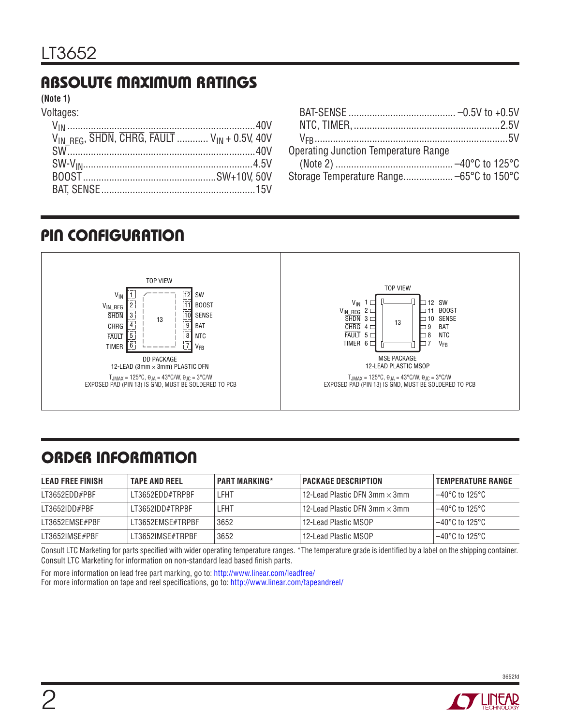# **ABSOLUTE MAXIMUM RATINGS**

**(Note 1)**

Voltages:

| $V_{IN}^{III}$ RFG, SHDN, CHRG, FAULT $V_{IN}$ + 0.5V, 40V |  |
|------------------------------------------------------------|--|
|                                                            |  |
|                                                            |  |
|                                                            |  |
|                                                            |  |

| <b>Operating Junction Temperature Range</b> |  |
|---------------------------------------------|--|
|                                             |  |
| Storage Temperature Range –65°C to 150°C    |  |

# **PIN CONFIGURATION**



# **ORDER INFORMATION**

| <b>LEAD FREE FINISH</b> | <b>TAPE AND REEL</b> | <b>PART MARKING*</b> | <b>PACKAGE DESCRIPTION</b>                          | <b>TEMPERATURE RANGE</b>  |
|-------------------------|----------------------|----------------------|-----------------------------------------------------|---------------------------|
| LT3652EDD#PBF           | LT3652EDD#TRPBF      | LFHT                 | l 12-Lead Plastic DFN 3mm $\times$ 3mm $_{\rm \, }$ | $-40^{\circ}$ C to 125°C  |
| LT3652IDD#PBF           | LT3652IDD#TRPBF      | LFHT                 | l 12-Lead Plastic DFN 3mm $\times$ 3mm $\,$         | $-40^{\circ}$ C to 125°C  |
| LT3652FMSF#PBF          | LT3652FMSF#TRPBF     | 3652                 | 12-Lead Plastic MSOP                                | $-40^{\circ}$ C to 125°C  |
| LT3652IMSE#PBF          | LT3652IMSE#TRPBF     | 3652                 | 12-Lead Plastic MSOP                                | $-40^{\circ}$ C to 125°C. |

Consult LTC Marketing for parts specified with wider operating temperature ranges. \*The temperature grade is identified by a label on the shipping container. Consult LTC Marketing for information on non-standard lead based finish parts.

For more information on lead free part marking, go to: http://www.linear.com/leadfree/

For more information on tape and reel specifications, go to: http://www.linear.com/tapeandreel/

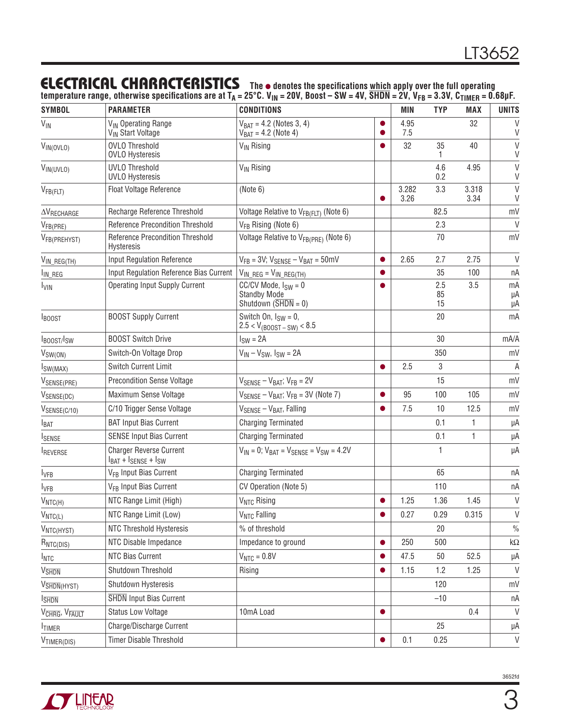### **ELECTRICAL CHARACTERISTICS** The  $\bullet$  denotes the specifications which apply over the full operating

temperature range, otherwise specifications are at T<sub>A</sub> = 25°C. V<sub>IN</sub> = 20V, Boost – SW = 4V, SHDN = 2V, V<sub>FB</sub> = 3.3V, C<sub>TIMER</sub> = 0.68μF.

| <b>SYMBOL</b>             | <b>PARAMETER</b>                                                 | <b>CONDITIONS</b>                                                                            | MIN               | <b>TYP</b>      | <b>MAX</b>    | <b>UNITS</b>     |
|---------------------------|------------------------------------------------------------------|----------------------------------------------------------------------------------------------|-------------------|-----------------|---------------|------------------|
| $V_{\text{IN}}$           | V <sub>IN</sub> Operating Range<br>V <sub>IN</sub> Start Voltage | $V_{BAT} = 4.2$ (Notes 3, 4)<br>$V_{BAT} = 4.2$ (Note 4)                                     | 4.95<br>o<br>7.5  |                 | 32            | $\vee$<br>V      |
| VIN(OVLO)                 | <b>OVLO Threshold</b><br><b>OVLO Hysteresis</b>                  | V <sub>IN</sub> Rising                                                                       | 32                | 35              | 40            | $\vee$<br>$\vee$ |
| $V_{IN(UVLO)}$            | <b>UVLO Threshold</b><br><b>UVLO Hysteresis</b>                  | V <sub>IN</sub> Rising                                                                       |                   | 4.6<br>0.2      | 4.95          | $\vee$<br>V      |
| $V_{FB(FLT)}$             | Float Voltage Reference                                          | (Note 6)                                                                                     | 3.282<br>3.26     | 3.3             | 3.318<br>3.34 | $\vee$<br>V      |
| $\Delta V_{RECHARGE}$     | Recharge Reference Threshold                                     | Voltage Relative to V <sub>FB(FLT)</sub> (Note 6)                                            |                   | 82.5            |               | mV               |
| V <sub>FB(PRE)</sub>      | Reference Precondition Threshold                                 | V <sub>FB</sub> Rising (Note 6)                                                              |                   | 2.3             |               | $\vee$           |
| V <sub>FB</sub> (PREHYST) | <b>Reference Precondition Threshold</b><br><b>Hysteresis</b>     | Voltage Relative to VFB(PRE) (Note 6)                                                        |                   | 70              |               | mV               |
| $V_{IN\_REG(TM)}$         | Input Regulation Reference                                       | $V_{FB}$ = 3V; $V_{SENSE}$ – $V_{BAT}$ = 50mV                                                | 2.65              | 2.7             | 2.75          | V                |
| I <sub>IN_REG</sub>       | Input Regulation Reference Bias Current                          | $V_{IN\_REG} = V_{IN\_REG(TM)}$                                                              | ●                 | 35              | 100           | nA               |
| <b>I<sub>VIN</sub></b>    | <b>Operating Input Supply Current</b>                            | $CC/CV$ Mode, $I_{SW} = 0$<br><b>Standby Mode</b><br>Shutdown $(\overline{\text{SHDN}} = 0)$ |                   | 2.5<br>85<br>15 | 3.5           | mA<br>μA<br>μA   |
| <b>IBOOST</b>             | <b>BOOST Supply Current</b>                                      | Switch On, $I_{SW} = 0$ ,<br>$2.5 < V_{(BOOST-SW)} < 8.5$                                    |                   | 20              |               | mA               |
| <b>IBOOST/ISW</b>         | <b>BOOST Switch Drive</b>                                        | $ISW = 2A$                                                                                   |                   | 30              |               | mA/A             |
| $V_{SW(ON)}$              | Switch-On Voltage Drop                                           | $V_{IN} - V_{SW}$ , $I_{SW} = 2A$                                                            |                   | 350             |               | mV               |
| $I_{SW(MAX)}$             | Switch Current Limit                                             |                                                                                              | 2.5<br>$\bullet$  | 3               |               | A                |
| VSENSE(PRE)               | <b>Precondition Sense Voltage</b>                                | $V_{\text{SENSE}} - V_{\text{BAT}}$ ; $V_{\text{FB}} = 2V$                                   |                   | 15              |               | mV               |
| VSENSE(DC)                | Maximum Sense Voltage                                            | $V_{\text{SENSE}} - V_{\text{BAT}}$ ; $V_{\text{FB}} = 3V$ (Note 7)                          | 95                | 100             | 105           | mV               |
| $V_{SENSE(C/10)}$         | C/10 Trigger Sense Voltage                                       | $V_{\text{SENSE}} - V_{\text{BAT}}$ , Falling                                                | 7.5               | 10              | 12.5          | mV               |
| $I_{BAT}$                 | <b>BAT Input Bias Current</b>                                    | <b>Charging Terminated</b>                                                                   |                   | 0.1             | 1             | μA               |
| <b>ISENSE</b>             | <b>SENSE Input Bias Current</b>                                  | <b>Charging Terminated</b>                                                                   |                   | 0.1             | 1             | μA               |
| <b>IREVERSE</b>           | <b>Charger Reverse Current</b><br>$IBAT + ISENSE + ISW$          | $V_{IN} = 0$ ; $V_{BAT} = V_{SENSE} = V_{SW} = 4.2V$                                         |                   | 1               |               | μA               |
| $I_{VFB}$                 | V <sub>FB</sub> Input Bias Current                               | <b>Charging Terminated</b>                                                                   |                   | 65              |               | nA               |
| <b>I</b> VFB              | V <sub>FB</sub> Input Bias Current                               | CV Operation (Note 5)                                                                        |                   | 110             |               | nA               |
| $V_{NTC(H)}$              | NTC Range Limit (High)                                           | V <sub>NTC</sub> Rising                                                                      | 1.25              | 1.36            | 1.45          | $\mathsf{V}$     |
| $V_{NTC(L)}$              | NTC Range Limit (Low)                                            | <b>V<sub>NTC</sub></b> Falling                                                               | 0.27<br>$\bullet$ | 0.29            | 0.315         | V                |
| V <sub>NTC(HYST)</sub>    | NTC Threshold Hysteresis                                         | % of threshold                                                                               |                   | 20              |               | $\%$             |
| RNTC(DIS)                 | NTC Disable Impedance                                            | Impedance to ground                                                                          | 250<br>$\bullet$  | 500             |               | k $\Omega$       |
| $I_{NTC}$                 | NTC Bias Current                                                 | $V_{NTC} = 0.8V$                                                                             | 47.5              | 50              | 52.5          | μA               |
| V <sub>SHDN</sub>         | Shutdown Threshold                                               | Rising                                                                                       | 1.15<br>$\bullet$ | 1.2             | 1.25          | V                |
| V <sub>SHDN</sub> (HYST)  | Shutdown Hysteresis                                              |                                                                                              |                   | 120             |               | mV               |
| <b>I</b> SHDN             | <b>SHDN</b> Input Bias Current                                   |                                                                                              |                   | $-10$           |               | пA               |
| VCHRG, VFAULT             | <b>Status Low Voltage</b>                                        | 10mA Load                                                                                    | $\bullet$         |                 | 0.4           | V                |
| <b>TIMER</b>              | Charge/Discharge Current                                         |                                                                                              |                   | 25              |               | μA               |
| V <sub>TIMER(DIS)</sub>   | Timer Disable Threshold                                          |                                                                                              | 0.1               | 0.25            |               | $\vee$           |



3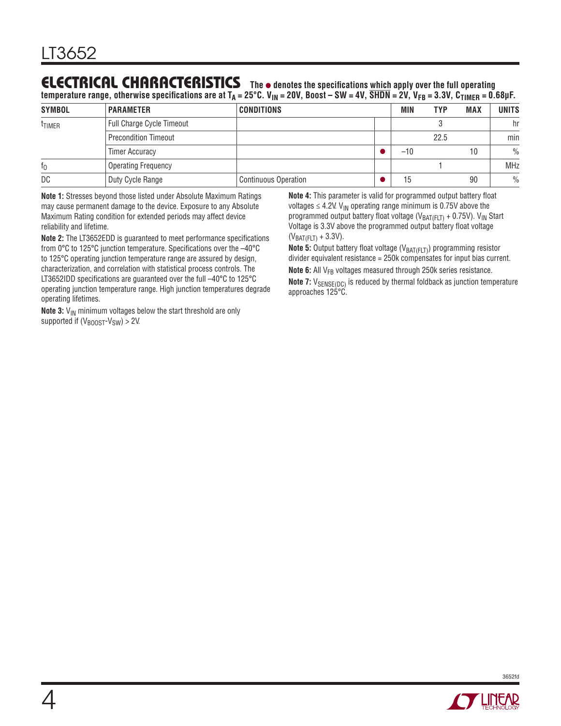### **ELECTRICAL CHARACTERISTICS** The  $\bullet$  denotes the specifications which apply over the full operating

temperature range, otherwise specifications are at T<sub>A</sub> = 25°C. V<sub>IN</sub> = 20V, Boost – SW = 4V, SHDN = 2V, V<sub>FB</sub> = 3.3V, C<sub>TIMER</sub> = 0.68μF.

| <b>SYMBOL</b>      | <b>PARAMETER</b>                 | <b>CONDITIONS</b>           | MIN   | <b>TYP</b> | <b>MAX</b> | <b>UNITS</b>  |
|--------------------|----------------------------------|-----------------------------|-------|------------|------------|---------------|
| <sup>t</sup> TIMER | <b>Full Charge Cycle Timeout</b> |                             |       |            |            | hr            |
|                    | <b>Precondition Timeout</b>      |                             |       | 22.5       |            | min           |
|                    | <b>Timer Accuracy</b>            |                             | $-10$ |            | 10         | $\frac{0}{0}$ |
| t <sub>0</sub>     | <b>Operating Frequency</b>       |                             |       |            |            | <b>MHz</b>    |
| DC                 | Duty Cycle Range                 | <b>Continuous Operation</b> | 15    |            | 90         | $\frac{0}{0}$ |

**Note 1:** Stresses beyond those listed under Absolute Maximum Ratings may cause permanent damage to the device. Exposure to any Absolute Maximum Rating condition for extended periods may affect device reliability and lifetime.

**Note 2:** The LT3652EDD is quaranteed to meet performance specifications from 0°C to 125°C junction temperature. Specifications over the -40°C to 125°C operating junction temperature range are assured by design, characterization, and correlation with statistical process controls. The LT3652IDD specifications are guaranteed over the full  $-40^{\circ}$ C to 125 $^{\circ}$ C operating junction temperature range. High junction temperatures degrade operating lifetimes.

**Note 3:** V<sub>IN</sub> minimum voltages below the start threshold are only supported if  $(V_{\text{BOOST}}-V_{\text{SW}}) > 2V$ .

**Note 4:** This parameter is valid for programmed output battery float voltages  $\leq$  4.2V. V<sub>IN</sub> operating range minimum is 0.75V above the programmed output battery float voltage ( $V_{BAT(FLT)} + 0.75V$ ).  $V_{IN}$  Start Voltage is 3.3V above the programmed output battery float voltage  $(V_{BAT(FLT)} + 3.3V)$ .

**Note 5:** Output battery float voltage (V<sub>BAT(FLT)</sub>) programming resistor divider equivalent resistance = 250k compensates for input bias current. **Note 6:** All V<sub>FB</sub> voltages measured through 250k series resistance.

**Note 7:**  $V_{\text{SENSE(DC)}}$  is reduced by thermal foldback as junction temperature approaches 125°C.



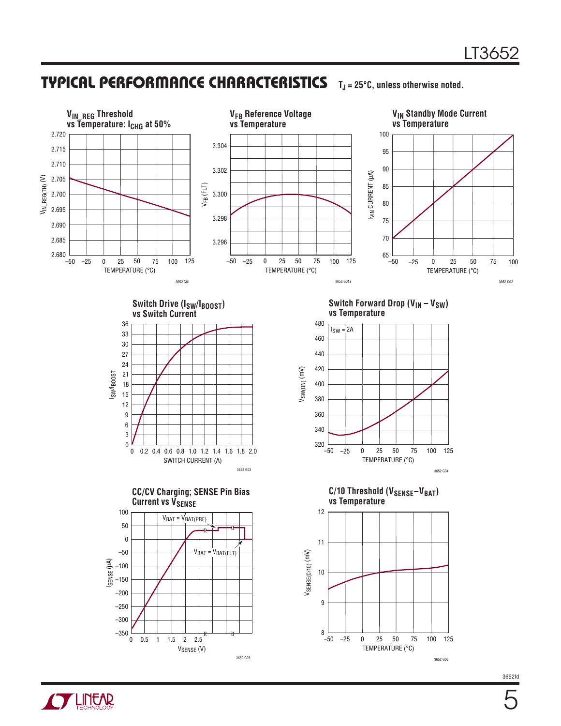5

### **TYPICAL PERFORMANCE CHARACTERISTICS TJ = 25°C, unless otherwise noted.**

**OF LINEAR** 

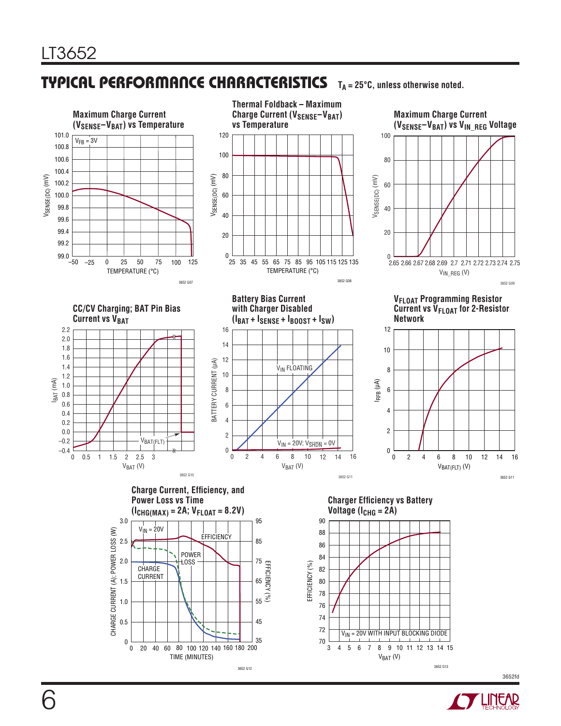#### **TYPICAL PERFORMANCE CHARACTERISTICS TA = 25°C, unless otherwise noted.**



3652 G12

3652 G13



3652fd

6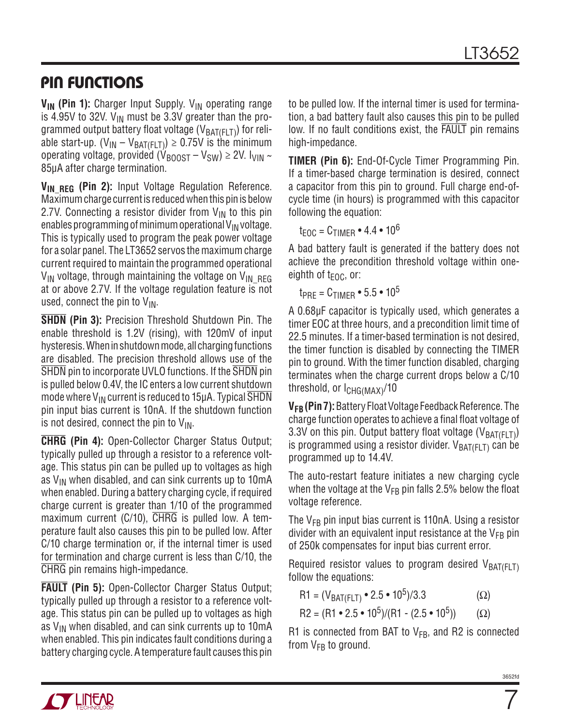# **PIN FUNCTIONS**

V<sub>IN</sub> (Pin 1): Charger Input Supply. V<sub>IN</sub> operating range is 4.95V to 32V.  $V_{IN}$  must be 3.3V greater than the programmed output battery float voltage ( $V_{BAT(FLT)}$ ) for reliable start-up. ( $V_{IN} - V_{BAT(FLT)}) \ge 0.75V$  is the minimum operating voltage, provided ( $V_{\text{B00ST}} - V_{\text{SW}} \ge 2V$ .  $V_{\text{VIN}} \sim$ 85μA after charge termination.

**V<sub>IN REG</sub> (Pin 2):** Input Voltage Regulation Reference. Maximum charge current is reduced when this pin is below 2.7V. Connecting a resistor divider from  $V_{IN}$  to this pin enables programming of minimum operational  $V_{IN}$  voltage. This is typically used to program the peak power voltage for a solar panel. The LT3652 servos the maximum charge current required to maintain the programmed operational  $V_{IN}$  voltage, through maintaining the voltage on  $V_{IN}$  REG at or above 2.7V. If the voltage regulation feature is not used, connect the pin to  $V_{IN}$ .

**SHDN (Pin 3):** Precision Threshold Shutdown Pin. The enable threshold is 1.2V (rising), with 120mV of input hysteresis. When in shutdown mode, all charging functions are disabled. The precision threshold allows use of the SHDN pin to incorporate UVLO functions. If the SHDN pin is pulled below 0.4V, the IC enters a low current shutdown mode where  $V_{IN}$  current is reduced to 15 $\mu$ A. Typical SHDN pin input bias current is 10nA. If the shutdown function is not desired, connect the pin to  $V_{IN}$ .

**CHRG (Pin 4):** Open-Collector Charger Status Output; typically pulled up through a resistor to a reference voltage. This status pin can be pulled up to voltages as high as  $V_{IN}$  when disabled, and can sink currents up to 10mA when enabled. During a battery charging cycle, if required charge current is greater than 1/10 of the programmed maximum current (C/10), CHRG is pulled low. A temperature fault also causes this pin to be pulled low. After C/10 charge termination or, if the internal timer is used for termination and charge current is less than C/10, the CHRG pin remains high-impedance.

**FAULT (Pin 5):** Open-Collector Charger Status Output; typically pulled up through a resistor to a reference voltage. This status pin can be pulled up to voltages as high as  $V_{IN}$  when disabled, and can sink currents up to 10mA when enabled. This pin indicates fault conditions during a battery charging cycle. A temperature fault causes this pin to be pulled low. If the internal timer is used for termination, a bad battery fault also causes this pin to be pulled low. If no fault conditions exist, the FAULT pin remains high-impedance.

**TIMER (Pin 6):** End-Of-Cycle Timer Programming Pin. If a timer-based charge termination is desired, connect a capacitor from this pin to ground. Full charge end-ofcycle time (in hours) is programmed with this capacitor following the equation:

 $t_{EOC} = C_{TIMER} \cdot 4.4 \cdot 10^6$ 

A bad battery fault is generated if the battery does not achieve the precondition threshold voltage within oneeighth of  $t_{\text{FOL}}$ , or:

 $t_{PRE} = C_{TIME} \cdot 5.5 \cdot 10^5$ 

A 0.68μF capacitor is typically used, which generates a timer EOC at three hours, and a precondition limit time of 22.5 minutes. If a timer-based termination is not desired, the timer function is disabled by connecting the TIMER pin to ground. With the timer function disabled, charging terminates when the charge current drops below a C/10 threshold, or  $I_{CHG(MAX)}$ /10

**VFB (Pin 7):** Battery Float Voltage Feedback Reference. The charge function operates to achieve a final float voltage of 3.3V on this pin. Output battery float voltage ( $V_{BAT(F|T)}$ ) is programmed using a resistor divider.  $V_{BAT(F|T)}$  can be programmed up to 14.4V.

The auto-restart feature initiates a new charging cycle when the voltage at the  $V_{FB}$  pin falls 2.5% below the float voltage reference.

The  $V_{FB}$  pin input bias current is 110nA. Using a resistor divider with an equivalent input resistance at the  $V_{FB}$  pin of 250k compensates for input bias current error.

Required resistor values to program desired  $V_{BAT(F|T)}$ follow the equations:

$$
R1 = (V_{BAT(FLT)} \cdot 2.5 \cdot 10^5)/3.3 \tag{Ω}
$$

$$
R2 = (R1 \cdot 2.5 \cdot 10^5) / (R1 - (2.5 \cdot 10^5))
$$
 (Ω)

R1 is connected from BAT to  $V_{FB}$ , and R2 is connected from  $V_{FB}$  to ground.



7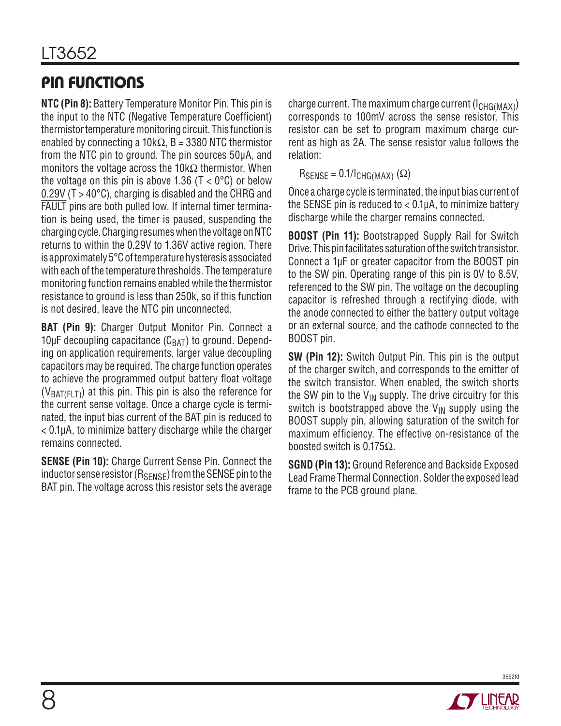# **PIN FUNCTIONS**

**NTC (Pin 8):** Battery Temperature Monitor Pin. This pin is the input to the NTC (Negative Temperature Coefficient) thermistor temperature monitoring circuit. This function is enabled by connecting a 10k $\Omega$ , B = 3380 NTC thermistor from the NTC pin to ground. The pin sources 50μA, and monitors the voltage across the 10k $\Omega$  thermistor. When the voltage on this pin is above 1.36 ( $T < 0^{\circ}$ C) or below 0.29V ( $T > 40^{\circ}$ C), charging is disabled and the CHRG and FAULT pins are both pulled low. If internal timer termination is being used, the timer is paused, suspending the charging cycle. Charging resumes when the voltage on NTC returns to within the 0.29V to 1.36V active region. There is approximately 5°C of temperature hysteresis associated with each of the temperature thresholds. The temperature monitoring function remains enabled while the thermistor resistance to ground is less than 250k, so if this function is not desired, leave the NTC pin unconnected.

**BAT (Pin 9):** Charger Output Monitor Pin. Connect a 10μF decoupling capacitance  $(C_{BAT})$  to ground. Depending on application requirements, larger value decoupling capacitors may be required. The charge function operates to achieve the programmed output battery float voltage  $(V_{BAT(F+T)})$  at this pin. This pin is also the reference for the current sense voltage. Once a charge cycle is terminated, the input bias current of the BAT pin is reduced to < 0.1μA, to minimize battery discharge while the charger remains connected.

**SENSE (Pin 10):** Charge Current Sense Pin. Connect the inductor sense resistor  $(R_{\text{SENSE}})$  from the SENSE pin to the BAT pin. The voltage across this resistor sets the average charge current. The maximum charge current  $(I<sub>CHG(MAX)</sub>)$ corresponds to 100mV across the sense resistor. This resistor can be set to program maximum charge current as high as 2A. The sense resistor value follows the relation:

 $R_{\text{SENSE}} = 0.1 / I_{\text{CHG}(\text{MAX})} (\Omega)$ 

Once a charge cycle is terminated, the input bias current of the SENSE pin is reduced to  $< 0.1 \mu A$ , to minimize battery discharge while the charger remains connected.

**BOOST (Pin 11):** Bootstrapped Supply Rail for Switch Drive. This pin facilitates saturation of the switch transistor. Connect a 1μF or greater capacitor from the BOOST pin to the SW pin. Operating range of this pin is 0V to 8.5V, referenced to the SW pin. The voltage on the decoupling capacitor is refreshed through a rectifying diode, with the anode connected to either the battery output voltage or an external source, and the cathode connected to the BOOST pin.

**SW (Pin 12):** Switch Output Pin. This pin is the output of the charger switch, and corresponds to the emitter of the switch transistor. When enabled, the switch shorts the SW pin to the  $V_{IN}$  supply. The drive circuitry for this switch is bootstrapped above the  $V_{IN}$  supply using the BOOST supply pin, allowing saturation of the switch for maximum efficiency. The effective on-resistance of the boosted switch is 0.175Ω.

**SGND (Pin 13):** Ground Reference and Backside Exposed Lead Frame Thermal Connection. Solder the exposed lead frame to the PCB ground plane.

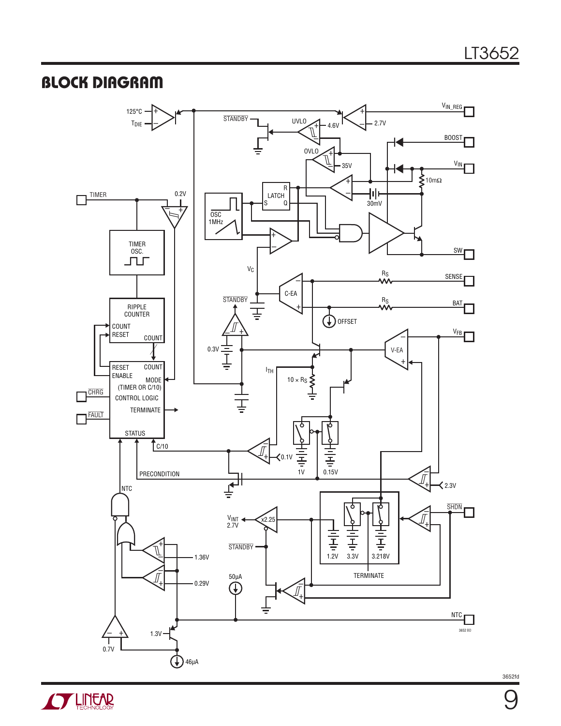## **BLOCK DIAGRAM**



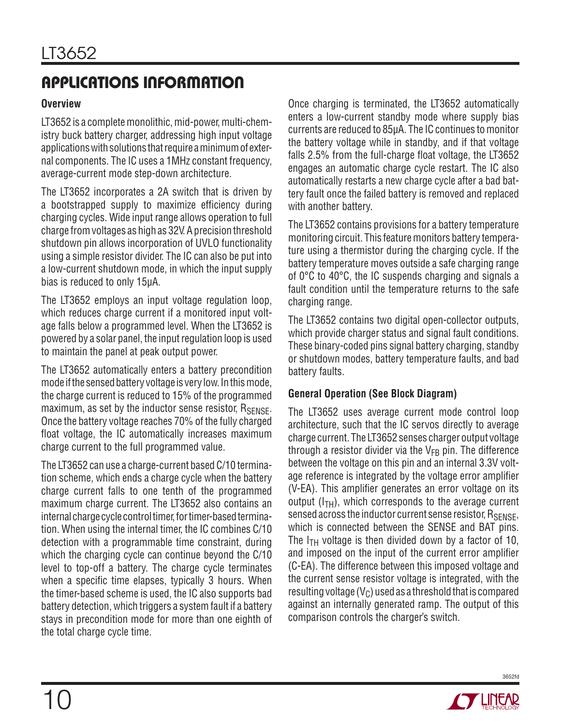#### **Overview**

LT3652 is a complete monolithic, mid-power, multi-chemistry buck battery charger, addressing high input voltage applications with solutions that require a minimum of external components. The IC uses a 1MHz constant frequency, average-current mode step-down architecture.

The LT3652 incorporates a 2A switch that is driven by a bootstrapped supply to maximize efficiency during charging cycles. Wide input range allows operation to full charge from voltages as high as 32V. A precision threshold shutdown pin allows incorporation of UVLO functionality using a simple resistor divider. The IC can also be put into a low-current shutdown mode, in which the input supply bias is reduced to only 15μA.

The LT3652 employs an input voltage regulation loop, which reduces charge current if a monitored input voltage falls below a programmed level. When the LT3652 is powered by a solar panel, the input regulation loop is used to maintain the panel at peak output power.

The LT3652 automatically enters a battery precondition mode if the sensed battery voltage is very low. In this mode, the charge current is reduced to 15% of the programmed maximum, as set by the inductor sense resistor,  $R_{\text{SENSF}}$ . Once the battery voltage reaches 70% of the fully charged float voltage, the IC automatically increases maximum charge current to the full programmed value.

The LT3652 can use a charge-current based C/10 termination scheme, which ends a charge cycle when the battery charge current falls to one tenth of the programmed maximum charge current. The LT3652 also contains an internal charge cycle control timer, for timer-based termination. When using the internal timer, the IC combines C/10 detection with a programmable time constraint, during which the charging cycle can continue beyond the C/10 level to top-off a battery. The charge cycle terminates when a specific time elapses, typically 3 hours. When the timer-based scheme is used, the IC also supports bad battery detection, which triggers a system fault if a battery stays in precondition mode for more than one eighth of the total charge cycle time.

Once charging is terminated, the LT3652 automatically enters a low-current standby mode where supply bias currents are reduced to 85μA. The IC continues to monitor the battery voltage while in standby, and if that voltage falls 2.5% from the full-charge float voltage, the LT3652 engages an automatic charge cycle restart. The IC also automatically restarts a new charge cycle after a bad battery fault once the failed battery is removed and replaced with another battery.

The LT3652 contains provisions for a battery temperature monitoring circuit. This feature monitors battery temperature using a thermistor during the charging cycle. If the battery temperature moves outside a safe charging range of 0°C to 40°C, the IC suspends charging and signals a fault condition until the temperature returns to the safe charging range.

The LT3652 contains two digital open-collector outputs, which provide charger status and signal fault conditions. These binary-coded pins signal battery charging, standby or shutdown modes, battery temperature faults, and bad battery faults.

#### **General Operation (See Block Diagram)**

The LT3652 uses average current mode control loop architecture, such that the IC servos directly to average charge current. The LT3652 senses charger output voltage through a resistor divider via the  $V_{FB}$  pin. The difference between the voltage on this pin and an internal 3.3V voltage reference is integrated by the voltage error amplifier (V-EA). This amplifier generates an error voltage on its output  $(I<sub>TH</sub>)$ , which corresponds to the average current sensed across the inductor current sense resistor, RSENSE, which is connected between the SENSE and BAT pins. The  $I_{TH}$  voltage is then divided down by a factor of 10, and imposed on the input of the current error amplifier (C-EA). The difference between this imposed voltage and the current sense resistor voltage is integrated, with the resulting voltage  $(V_C)$  used as a threshold that is compared against an internally generated ramp. The output of this comparison controls the charger's switch.

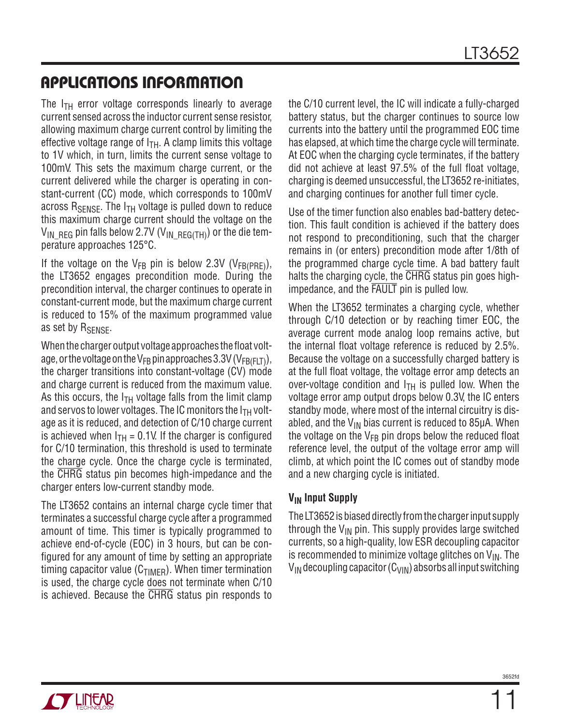The  $I_{TH}$  error voltage corresponds linearly to average current sensed across the inductor current sense resistor, allowing maximum charge current control by limiting the effective voltage range of  $I<sub>TH</sub>$ . A clamp limits this voltage to 1V which, in turn, limits the current sense voltage to 100mV. This sets the maximum charge current, or the current delivered while the charger is operating in constant-current (CC) mode, which corresponds to 100mV across  $R_{\text{SENSE}}$ . The  $I_{\text{TH}}$  voltage is pulled down to reduce this maximum charge current should the voltage on the  $V_{IN<sub>IREG</sub>}$  pin falls below 2.7V ( $V_{IN<sub>IREG(TH)</sub>}$ ) or the die temperature approaches 125°C.

If the voltage on the  $V_{FB}$  pin is below 2.3V ( $V_{FB(PBF)}$ ), the LT3652 engages precondition mode. During the precondition interval, the charger continues to operate in constant-current mode, but the maximum charge current is reduced to 15% of the maximum programmed value as set by R<sub>SENSE</sub>.

When the charger output voltage approaches the float voltage, or the voltage on the V<sub>FB</sub> pin approaches 3.3V (V<sub>FB(FLT)</sub>), the charger transitions into constant-voltage (CV) mode and charge current is reduced from the maximum value. As this occurs, the  $I<sub>TH</sub>$  voltage falls from the limit clamp and servos to lower voltages. The IC monitors the  $I<sub>TH</sub>$  voltage as it is reduced, and detection of C/10 charge current is achieved when  $I_{TH} = 0.1V$ . If the charger is configured for C/10 termination, this threshold is used to terminate the charge cycle. Once the charge cycle is terminated, the CHRG status pin becomes high-impedance and the charger enters low-current standby mode.

The LT3652 contains an internal charge cycle timer that terminates a successful charge cycle after a programmed amount of time. This timer is typically programmed to achieve end-of-cycle (EOC) in 3 hours, but can be configured for any amount of time by setting an appropriate timing capacitor value ( $C_{TIMFR}$ ). When timer termination is used, the charge cycle does not terminate when C/10 is achieved. Because the CHRG status pin responds to the C/10 current level, the IC will indicate a fully-charged battery status, but the charger continues to source low currents into the battery until the programmed EOC time has elapsed, at which time the charge cycle will terminate. At EOC when the charging cycle terminates, if the battery did not achieve at least 97.5% of the full float voltage, charging is deemed unsuccessful, the LT3652 re-initiates, and charging continues for another full timer cycle.

Use of the timer function also enables bad-battery detection. This fault condition is achieved if the battery does not respond to preconditioning, such that the charger remains in (or enters) precondition mode after 1/8th of the programmed charge cycle time. A bad battery fault halts the charging cycle, the CHRG status pin goes highimpedance, and the FAULT pin is pulled low.

When the LT3652 terminates a charging cycle, whether through C/10 detection or by reaching timer EOC, the average current mode analog loop remains active, but the internal float voltage reference is reduced by 2.5%. Because the voltage on a successfully charged battery is at the full float voltage, the voltage error amp detects an over-voltage condition and  $I<sub>TH</sub>$  is pulled low. When the voltage error amp output drops below 0.3V, the IC enters standby mode, where most of the internal circuitry is disabled, and the  $V_{IN}$  bias current is reduced to 85µA. When the voltage on the  $V_{FB}$  pin drops below the reduced float reference level, the output of the voltage error amp will climb, at which point the IC comes out of standby mode and a new charging cycle is initiated.

#### **V<sub>IN</sub>** Input Supply

The LT3652 is biased directly from the charger input supply through the  $V_{IN}$  pin. This supply provides large switched currents, so a high-quality, low ESR decoupling capacitor is recommended to minimize voltage glitches on  $V_{IN}$ . The  $V_{IN}$  decoupling capacitor (C<sub>VIN</sub>) absorbs all input switching

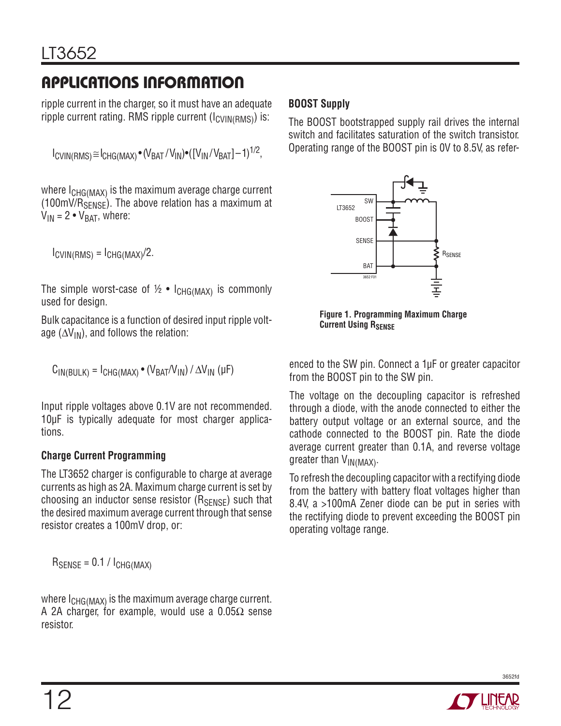ripple current in the charger, so it must have an adequate ripple current rating. RMS ripple current  $(I_{CVIN(RMS)})$  is:

```
I_{\text{CVIN(RMS)}} \cong I_{\text{CHG(MAX)}} \cdot (V_{\text{BAT}}/V_{\text{IN}}) \cdot ([V_{\text{IN}}/V_{\text{BAT}}]-1)^{1/2},
```
where I<sub>CHG(MAX)</sub> is the maximum average charge current  $(100 \text{mV/R}_{SFNSF})$ . The above relation has a maximum at  $V_{IN} = 2 \cdot V_{BAT}$ , where:

 $I_{\text{CVIN(RMS)}} = I_{\text{CHG(MAX)}}/2.$ 

The simple worst-case of  $\frac{1}{2} \cdot I_{CHG(MAX)}$  is commonly used for design.

Bulk capacitance is a function of desired input ripple voltage ( $\Delta V_{IN}$ ), and follows the relation:

$$
C_{IN(BULK)} = I_{CHG(MAX)} \bullet (V_{BAT}/V_{IN}) / \Delta V_{IN} ( \mu F )
$$

Input ripple voltages above 0.1V are not recommended. 10μF is typically adequate for most charger applications.

### **Charge Current Programming**

The LT3652 charger is configurable to charge at average currents as high as 2A. Maximum charge current is set by choosing an inductor sense resistor  $(R_{\text{SENSE}})$  such that the desired maximum average current through that sense resistor creates a 100mV drop, or:

 $R_{\text{SENSE}} = 0.1 / I_{\text{CHG}(\text{MAX})}$ 

where  $I_{CHG(MAX)}$  is the maximum average charge current. A 2A charger, for example, would use a 0.05 $\Omega$  sense resistor.

#### **BOOST Supply**

The BOOST bootstrapped supply rail drives the internal switch and facilitates saturation of the switch transistor. Operating range of the BOOST pin is 0V to 8.5V, as refer-



**Figure 1. Programming Maximum Charge Current Using RSENSE** 

enced to the SW pin. Connect a 1μF or greater capacitor from the BOOST pin to the SW pin.

The voltage on the decoupling capacitor is refreshed through a diode, with the anode connected to either the battery output voltage or an external source, and the cathode connected to the BOOST pin. Rate the diode average current greater than 0.1A, and reverse voltage greater than  $V_{IN(MAX)}$ .

To refresh the decoupling capacitor with a rectifying diode from the battery with battery float voltages higher than 8.4V, a >100mA Zener diode can be put in series with the rectifying diode to prevent exceeding the BOOST pin operating voltage range.

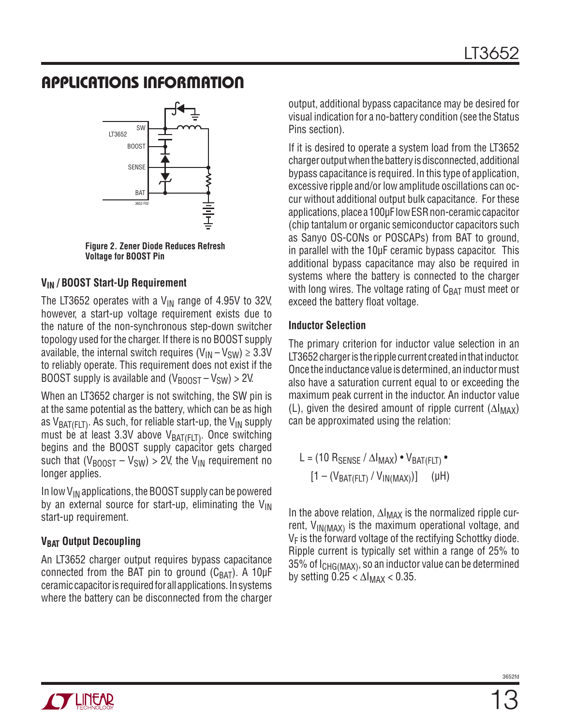

**Figure 2. Zener Diode Reduces Refresh Voltage for BOOST Pin**

#### **VIN / BOOST Start-Up Requirement**

The LT3652 operates with a  $V_{IN}$  range of 4.95V to 32V, however, a start-up voltage requirement exists due to the nature of the non-synchronous step-down switcher topology used for the charger. If there is no BOOST supply available, the internal switch requires  $(V_{\text{IN}} - V_{\text{SW}}) \geq 3.3V$ to reliably operate. This requirement does not exist if the BOOST supply is available and  $(V_{\text{BODST}} - V_{\text{SW}}) > 2V$ .

When an LT3652 charger is not switching, the SW pin is at the same potential as the battery, which can be as high as  $V_{BAT(FLT)}$ . As such, for reliable start-up, the  $V_{IN}$  supply must be at least 3.3V above  $V_{BAT(FLT)}$ . Once switching begins and the BOOST supply capacitor gets charged such that  $(V_{\text{BOOST}} - V_{SW}) > 2V$ , the  $V_{\text{IN}}$  requirement no longer applies.

In low  $V_{IN}$  applications, the BOOST supply can be powered by an external source for start-up, eliminating the  $V_{IN}$ start-up requirement.

### **V<sub>BAT</sub>** Output Decoupling

An LT3652 charger output requires bypass capacitance connected from the BAT pin to ground  $(C_{BAT})$ . A 10μF ceramic capacitor is required for all applications. In systems where the battery can be disconnected from the charger output, additional bypass capacitance may be desired for visual indication for a no-battery condition (see the Status Pins section).

If it is desired to operate a system load from the LT3652 charger output when the battery is disconnected, additional bypass capacitance is required. In this type of application, excessive ripple and/or low amplitude oscillations can occur without additional output bulk capacitance. For these applications, place a 100μF low ESR non-ceramic capacitor (chip tantalum or organic semiconductor capacitors such as Sanyo OS-CONs or POSCAPs) from BAT to ground, in parallel with the 10μF ceramic bypass capacitor. This additional bypass capacitance may also be required in systems where the battery is connected to the charger with long wires. The voltage rating of  $C_{\text{BAT}}$  must meet or exceed the battery float voltage.

#### **Inductor Selection**

The primary criterion for inductor value selection in an LT3652 charger is the ripple current created in that inductor. Once the inductance value is determined, an inductor must also have a saturation current equal to or exceeding the maximum peak current in the inductor. An inductor value (L), given the desired amount of ripple current ( $\Delta I_{MAX}$ ) can be approximated using the relation:

$$
L = (10 R_{\text{SENSE}} / \Delta I_{\text{MAX}}) \cdot V_{\text{BAT}(FLT)} \cdot
$$

$$
[1 - (V_{\text{BAT}(FLT)} / V_{\text{IN}(MAX)})] \qquad (\mu H)
$$

In the above relation, ∆I<sub>MAX</sub> is the normalized ripple current,  $V_{IN(MAX)}$  is the maximum operational voltage, and  $V_F$  is the forward voltage of the rectifying Schottky diode. Ripple current is typically set within a range of 25% to 35% of I<sub>CHG(MAX)</sub>, so an inductor value can be determined by setting  $0.25 < \Delta I_{MAX} < 0.35$ .

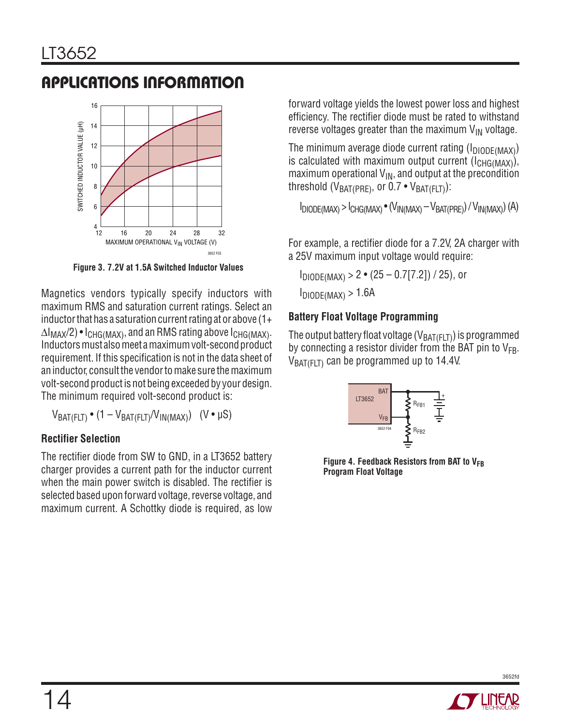

**Figure 3. 7.2V at 1.5A Switched Inductor Values**

Magnetics vendors typically specify inductors with maximum RMS and saturation current ratings. Select an inductor that has a saturation current rating at or above  $(1+$  $\Delta I_{MAX}/2$ ) •  $I_{CHG(MAX)}$ , and an RMS rating above  $I_{CHG(MAX)}$ . Inductors must also meet a maximum volt-second product requirement. If this specification is not in the data sheet of an inductor, consult the vendor to make sure the maximum volt-second product is not being exceeded by your design. The minimum required volt-second product is:

 $V_{BAT(FLT)} \cdot (1 - V_{BAT(FLT)}/V_{IN(MAX)})$  (V • µS)

### **Rectifier Selection**

The rectifier diode from SW to GND, in a LT3652 battery charger provides a current path for the inductor current when the main power switch is disabled. The rectifier is selected based upon forward voltage, reverse voltage, and maximum current. A Schottky diode is required, as low

forward voltage yields the lowest power loss and highest efficiency. The rectifier diode must be rated to withstand reverse voltages greater than the maximum  $V_{IN}$  voltage.

The minimum average diode current rating  $(I_{DIODF(MAX)})$ is calculated with maximum output current  $(I_{CHG(MAX)}),$ maximum operational  $V_{\text{IN}}$ , and output at the precondition threshold ( $V_{BAT(PRF)}$ , or 0.7 •  $V_{BAT(FIT)}$ ):

 $I_{DIODE(MAX)}$  >  $I_{CHG(MAX)}$   $\bullet$   $(V_{IN(MAX)} - V_{BAT(PRE)}) / V_{IN(MAX)}$   $(A)$ 

For example, a rectifier diode for a 7.2V, 2A charger with a 25V maximum input voltage would require:

 $I_{DIODE(MAX)} > 2 \cdot (25 - 0.7[7.2]) / 25$ , or  $I_{DIODE(MAX)} > 1.6A$ 

#### **Battery Float Voltage Programming**

The output battery float voltage ( $V_{BAT(FLT)}$ ) is programmed by connecting a resistor divider from the BAT pin to  $V_{FB}$ .  $V_{BAT(FIT)}$  can be programmed up to 14.4V.



Figure 4. Feedback Resistors from BAT to V<sub>FB</sub> **Program Float Voltage**

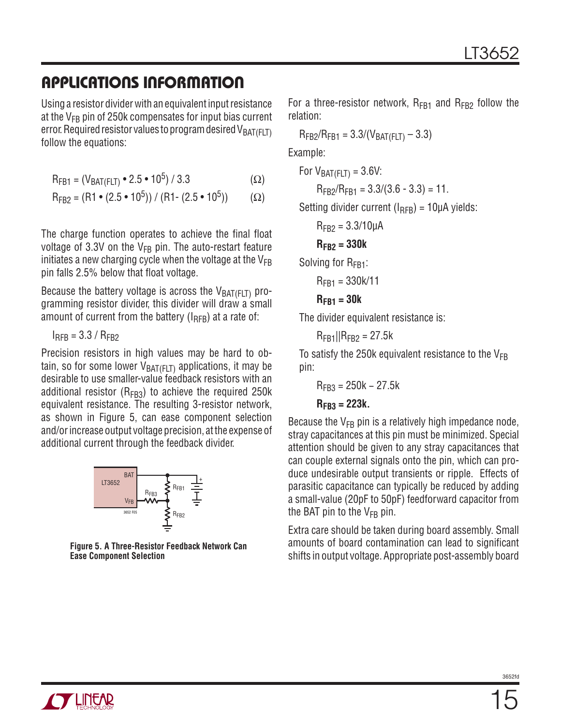Using a resistor divider with an equivalent input resistance at the  $V_{FB}$  pin of 250k compensates for input bias current error. Required resistor values to program desired  $V_{BAT(FLT)}$ follow the equations:

$$
R_{FB1} = (V_{BAT(FLT)} \cdot 2.5 \cdot 10^5) / 3.3
$$
 (Ω)

$$
R_{FB2} = (R1 \cdot (2.5 \cdot 10^5)) / (R1 \cdot (2.5 \cdot 10^5))
$$
 (Ω)

The charge function operates to achieve the final float voltage of 3.3V on the  $V_{FB}$  pin. The auto-restart feature initiates a new charging cycle when the voltage at the  $V_{FB}$ pin falls 2.5% below that float voltage.

Because the battery voltage is across the  $V_{BAT(FLT)}$  programming resistor divider, this divider will draw a small amount of current from the battery ( $I_{RFB}$ ) at a rate of:

 $I<sub>RFR</sub> = 3.3 / R<sub>FR2</sub>$ 

Precision resistors in high values may be hard to obtain, so for some lower  $V_{BAT(FIT)}$  applications, it may be desirable to use smaller-value feedback resistors with an additional resistor ( $R_{FB3}$ ) to achieve the required 250k equivalent resistance. The resulting 3-resistor network, as shown in Figure 5, can ease component selection and/or increase output voltage precision, at the expense of additional current through the feedback divider.



**Figure 5. A Three-Resistor Feedback Network Can Ease Component Selection**

For a three-resistor network,  $R_{FB1}$  and  $R_{FB2}$  follow the relation:

 $R_{FB2}/R_{FB1} = 3.3/(V_{BAT(FLT)} - 3.3)$ 

Example:

For  $V_{BAT(FIT)} = 3.6V$ :

 $R_{FB2}/R_{FB1} = 3.3/(3.6 - 3.3) = 11.$ 

Setting divider current  $(I_{RFR}) = 10 \mu A$  yields:

$$
R_{FB2} = 3.3/10 \mu A
$$

$$
R_{FB2}=330k
$$

Solving for R<sub>FB1</sub>:

$$
R_{FB1}=330k/11
$$

$$
R_{FB1}=30k
$$

The divider equivalent resistance is:

 $R_{FR1}$ || $R_{FR2}$  = 27.5k

To satisfy the 250k equivalent resistance to the  $V_{FB}$ pin:

$$
R_{FB3} = 250k - 27.5k
$$

#### **RFB3 = 223k.**

Because the  $V_{FB}$  pin is a relatively high impedance node, stray capacitances at this pin must be minimized. Special attention should be given to any stray capacitances that can couple external signals onto the pin, which can produce undesirable output transients or ripple. Effects of parasitic capacitance can typically be reduced by adding a small-value (20pF to 50pF) feedforward capacitor from the BAT pin to the  $V_{FB}$  pin.

Extra care should be taken during board assembly. Small amounts of board contamination can lead to significant shifts in output voltage. Appropriate post-assembly board

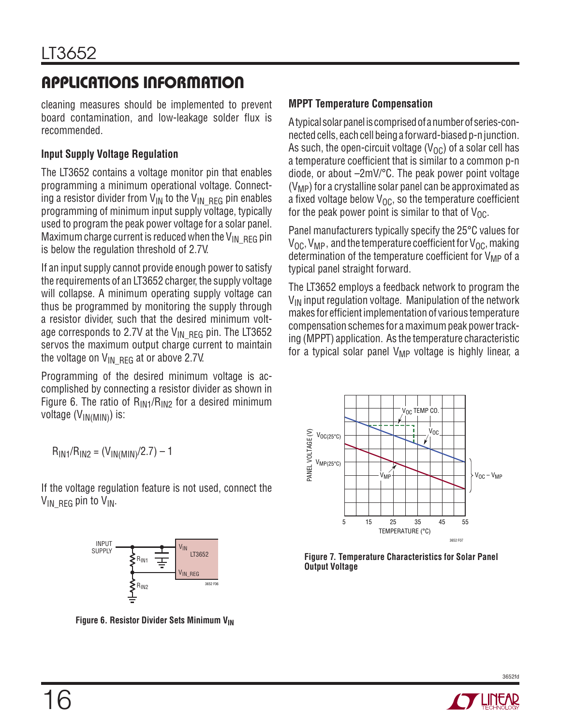cleaning measures should be implemented to prevent board contamination, and low-leakage solder flux is recommended.

#### **Input Supply Voltage Regulation**

The LT3652 contains a voltage monitor pin that enables programming a minimum operational voltage. Connecting a resistor divider from  $V_{IN}$  to the  $V_{IN}$  RFG pin enables programming of minimum input supply voltage, typically used to program the peak power voltage for a solar panel. Maximum charge current is reduced when the  $V_{IN-REFG}$  pin is below the regulation threshold of 2.7V.

If an input supply cannot provide enough power to satisfy the requirements of an LT3652 charger, the supply voltage will collapse. A minimum operating supply voltage can thus be programmed by monitoring the supply through a resistor divider, such that the desired minimum voltage corresponds to 2.7V at the  $V_{\text{IN}}$  RFG pin. The LT3652 servos the maximum output charge current to maintain the voltage on  $V_{\text{IN}}$  RFG at or above 2.7V.

Programming of the desired minimum voltage is accomplished by connecting a resistor divider as shown in Figure 6. The ratio of  $R_{IN1}/R_{IN2}$  for a desired minimum voltage (V<sub>IN(MIN)</sub>) is:

#### $R_{IN1}/R_{IN2} = (V_{IN(MIN)}/2.7) - 1$

If the voltage regulation feature is not used, connect the  $V_{IN-REFG}$  pin to  $V_{IN}$ .



**Figure 6. Resistor Divider Sets Minimum VIN** 

#### **MPPT Temperature Compensation**

A typical solar panel is comprised of a number of series-connected cells, each cell being a forward-biased p-n junction. As such, the open-circuit voltage  $(V_{\Omega C})$  of a solar cell has a temperature coefficient that is similar to a common p-n diode, or about –2mV/°C. The peak power point voltage  $(V_{MP})$  for a crystalline solar panel can be approximated as a fixed voltage below  $V_{OC}$ , so the temperature coefficient for the peak power point is similar to that of  $V_{\Omega C}$ .

Panel manufacturers typically specify the 25°C values for  $V_{\text{OC}}$ ,  $V_{\text{MP}}$ , and the temperature coefficient for  $V_{\text{OC}}$ , making determination of the temperature coefficient for  $V_{MP}$  of a typical panel straight forward.

The LT3652 employs a feedback network to program the  $V_{IN}$  input regulation voltage. Manipulation of the network makes for efficient implementation of various temperature compensation schemes for a maximum peak power tracking (MPPT) application. As the temperature characteristic for a typical solar panel  $V_{MP}$  voltage is highly linear, a



**Figure 7. Temperature Characteristics for Solar Panel Output Voltage**

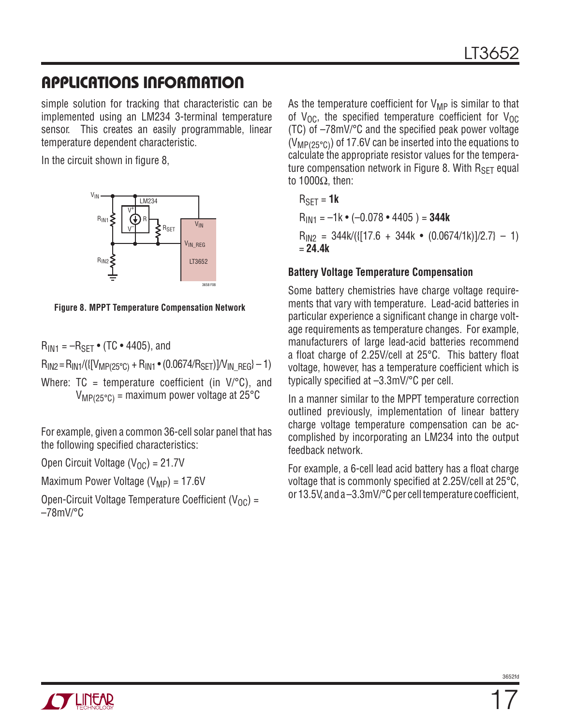simple solution for tracking that characteristic can be implemented using an LM234 3-terminal temperature sensor. This creates an easily programmable, linear temperature dependent characteristic.

In the circuit shown in figure 8,



**Figure 8. MPPT Temperature Compensation Network**

 $R_{IN1} = -R_{SFT}$  • (TC • 4405), and

 $R_{IN2} = R_{IN1}/({([V_{MP(25°C)} + R_{IN1} \cdot (0.0674/R_{SET})]}/V_{IN-REG}) - 1)$ 

Where:  $TC = temperature coefficient (in V/C)$ , and  $V_{MP(25°C)}$  = maximum power voltage at 25°C

For example, given a common 36-cell solar panel that has the following specified characteristics:

Open Circuit Voltage  $(V_{\Omega C}) = 21.7V$ 

Maximum Power Voltage  $(V_{MP}) = 17.6V$ 

Open-Circuit Voltage Temperature Coefficient (V<sub>OC</sub>) =  $-78$ m $V$ /°C

As the temperature coefficient for  $V_{MP}$  is similar to that of  $V_{\text{OC}}$ , the specified temperature coefficient for  $V_{\text{OC}}$ (TC) of –78mV/°C and the specified peak power voltage  $(V_{MP(25°C)})$  of 17.6V can be inserted into the equations to calculate the appropriate resistor values for the temperature compensation network in Figure 8. With  $R_{SFT}$  equal to 1000Ω, then:

```
R<sub>SFT</sub> = 1k
```
 $R_{\text{IN1}} = -1k \cdot (-0.078 \cdot 4405) = 344k$  $R<sub>IN2</sub> = 344k/({[17.6 + 344k \cdot (0.0674/1k)]/2.7} - 1)$ = **24.4k**

#### **Battery Voltage Temperature Compensation**

Some battery chemistries have charge voltage requirements that vary with temperature. Lead-acid batteries in particular experience a significant change in charge voltage requirements as temperature changes. For example, manufacturers of large lead-acid batteries recommend a float charge of 2.25V/cell at 25°C. This battery float voltage, however, has a temperature coefficient which is typically specified at –3.3mV/°C per cell.

In a manner similar to the MPPT temperature correction outlined previously, implementation of linear battery charge voltage temperature compensation can be accomplished by incorporating an LM234 into the output feedback network.

For example, a 6-cell lead acid battery has a float charge voltage that is commonly specified at 2.25V/cell at 25°C, or 13.5V, and a –3.3mV/°C per cell temperature coefficient,

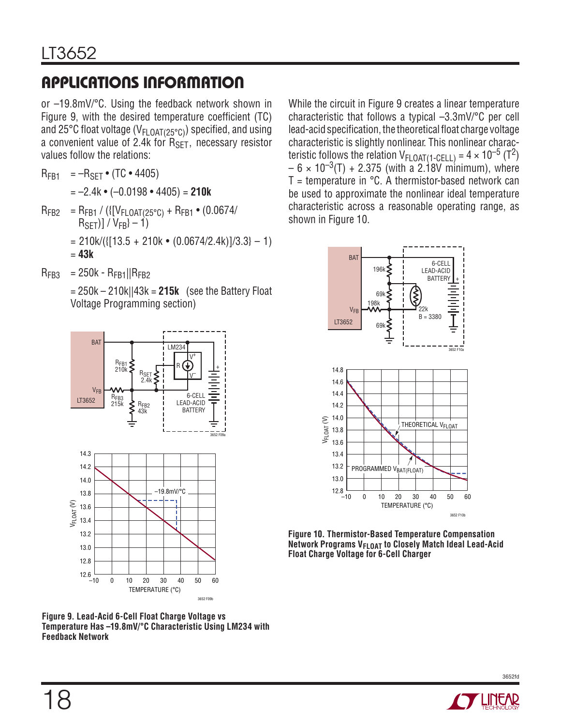or –19.8mV/°C. Using the feedback network shown in Figure 9, with the desired temperature coefficient (TC) and 25°C float voltage ( $V_{FLOAT(25°C)}$ ) specified, and using a convenient value of 2.4k for  $R_{\text{SET}}$ , necessary resistor values follow the relations:

- $R_{FR1} = -R_{SFT}$  (TC 4405)
	- = –2.4k (–0.0198 4405) = **210k**
- $R_{FB2}$  =  $R_{FB1}$  / ({[ $V_{FLOAT(25°C)}$  +  $R_{FB1}$  (0.0674/  $R_{\sf SET}$ )] / V<sub>FB</sub>} – 1)
	- $= 210k/({[13.5 + 210k \cdot (0.0674/2.4k)})/3.3} 1)$
	- = **43k**
- $R_{FR3}$  = 250k  $R_{FR1}$ || $R_{FR2}$

 = 250k – 210k||43k = **215k** (see the Battery Float Voltage Programming section)



**Figure 9. Lead-Acid 6-Cell Float Charge Voltage vs Temperature Has –19.8mV/°C Characteristic Using LM234 with Feedback Network**

While the circuit in Figure 9 creates a linear temperature characteristic that follows a typical –3.3mV/°C per cell lead-acid specification, the theoretical float charge voltage characteristic is slightly nonlinear. This nonlinear characteristic follows the relation  $V_{\text{FLOAT}(1\text{-GELL})} = 4 \times 10^{-5} \text{ (T}^2)$  $- 6 \times 10^{-3}$ (T) + 2.375 (with a 2.18V minimum), where  $T =$  temperature in  $°C$ . A thermistor-based network can be used to approximate the nonlinear ideal temperature characteristic across a reasonable operating range, as shown in Figure 10.



**Figure 10. Thermistor-Based Temperature Compensation Network Programs V<sub>FLOAT</sub> to Closely Match Ideal Lead-Acid Float Charge Voltage for 6-Cell Charger**

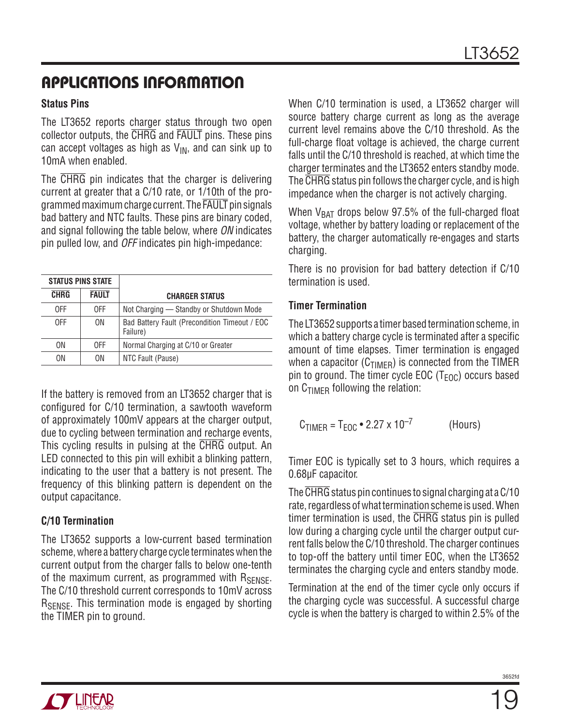#### **Status Pins**

The LT3652 reports charger status through two open collector outputs, the CHRG and FAULT pins. These pins can accept voltages as high as  $V_{IN}$ , and can sink up to 10mA when enabled.

The CHRG pin indicates that the charger is delivering current at greater that a C/10 rate, or 1/10th of the programmed maximum charge current. The FAULT pin signals bad battery and NTC faults. These pins are binary coded, and signal following the table below, where ON indicates pin pulled low, and OFF indicates pin high-impedance:

| <b>STATUS PINS STATE</b> |              |                                                           |
|--------------------------|--------------|-----------------------------------------------------------|
| <b>CHRG</b>              | <b>FAULT</b> | <b>CHARGER STATUS</b>                                     |
| 0FF                      | 0FF          | Not Charging - Standby or Shutdown Mode                   |
| 0FF                      | 0N           | Bad Battery Fault (Precondition Timeout / EOC<br>Failure) |
| ON                       | 0FF          | Normal Charging at C/10 or Greater                        |
| ΩN                       | ΩN           | NTC Fault (Pause)                                         |

If the battery is removed from an LT3652 charger that is configured for C/10 termination, a sawtooth waveform of approximately 100mV appears at the charger output, due to cycling between termination and recharge events, This cycling results in pulsing at the CHRG output. An LED connected to this pin will exhibit a blinking pattern, indicating to the user that a battery is not present. The frequency of this blinking pattern is dependent on the output capacitance.

#### **C/10 Termination**

The LT3652 supports a low-current based termination scheme, where a battery charge cycle terminates when the current output from the charger falls to below one-tenth of the maximum current, as programmed with  $R_{\text{SFNSF}}$ . The C/10 threshold current corresponds to 10mV across R<sub>SENSE</sub>. This termination mode is engaged by shorting the TIMER pin to ground.

When C/10 termination is used, a LT3652 charger will source battery charge current as long as the average current level remains above the C/10 threshold. As the full-charge float voltage is achieved, the charge current falls until the C/10 threshold is reached, at which time the charger terminates and the LT3652 enters standby mode. The CHRG status pin follows the charger cycle, and is high impedance when the charger is not actively charging.

When  $V_{BAT}$  drops below 97.5% of the full-charged float voltage, whether by battery loading or replacement of the battery, the charger automatically re-engages and starts charging.

There is no provision for bad battery detection if C/10 termination is used.

#### **Timer Termination**

The LT3652 supports a timer based termination scheme, in which a battery charge cycle is terminated after a specific amount of time elapses. Timer termination is engaged when a capacitor  $(C_{TIMER})$  is connected from the TIMER pin to ground. The timer cycle EOC ( $T_{FOC}$ ) occurs based on  $C_{TIMER}$  following the relation:

$$
C_{\text{TIMER}} = T_{\text{EOC}} \cdot 2.27 \times 10^{-7}
$$
 (Hours)

Timer EOC is typically set to 3 hours, which requires a 0.68μF capacitor.

The CHRG status pin continues to signal charging at a C/10 rate, regardless of what termination scheme is used. When timer termination is used, the CHRG status pin is pulled low during a charging cycle until the charger output current falls below the C/10 threshold. The charger continues to top-off the battery until timer EOC, when the LT3652 terminates the charging cycle and enters standby mode.

Termination at the end of the timer cycle only occurs if the charging cycle was successful. A successful charge cycle is when the battery is charged to within 2.5% of the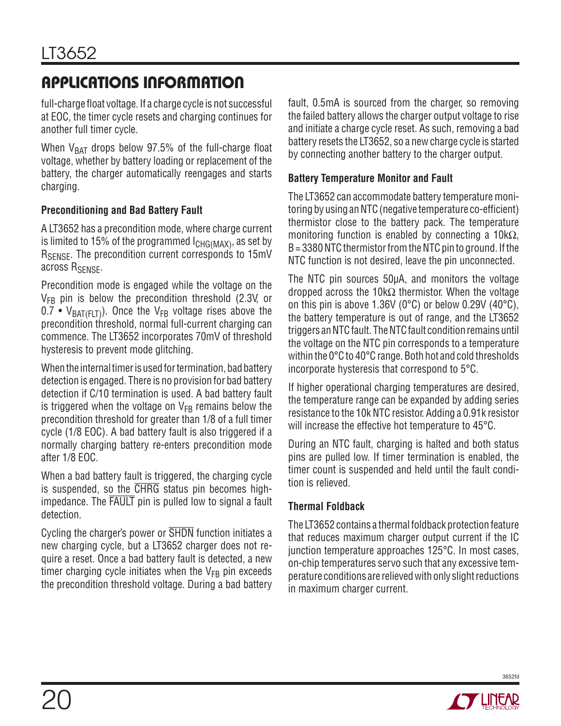full-charge float voltage. If a charge cycle is not successful at EOC, the timer cycle resets and charging continues for another full timer cycle.

When  $V_{BAT}$  drops below 97.5% of the full-charge float voltage, whether by battery loading or replacement of the battery, the charger automatically reengages and starts charging.

#### **Preconditioning and Bad Battery Fault**

A LT3652 has a precondition mode, where charge current is limited to 15% of the programmed  $I_{CHG(MAX)}$ , as set by R<sub>SENSE</sub>. The precondition current corresponds to 15mV across R<sub>SENSE</sub>.

Precondition mode is engaged while the voltage on the  $V_{FB}$  pin is below the precondition threshold (2.3V, or 0.7 •  $V_{BAT(FLT)}$ ). Once the  $V_{FB}$  voltage rises above the precondition threshold, normal full-current charging can commence. The LT3652 incorporates 70mV of threshold hysteresis to prevent mode glitching.

When the internal timer is used for termination, bad battery detection is engaged. There is no provision for bad battery detection if C/10 termination is used. A bad battery fault is triggered when the voltage on  $V_{FB}$  remains below the precondition threshold for greater than 1/8 of a full timer cycle (1/8 EOC). A bad battery fault is also triggered if a normally charging battery re-enters precondition mode after 1/8 EOC.

When a bad battery fault is triggered, the charging cycle is suspended, so the CHRG status pin becomes highimpedance. The FAULT pin is pulled low to signal a fault detection.

Cycling the charger's power or SHDN function initiates a new charging cycle, but a LT3652 charger does not require a reset. Once a bad battery fault is detected, a new timer charging cycle initiates when the  $V_{FB}$  pin exceeds the precondition threshold voltage. During a bad battery fault, 0.5mA is sourced from the charger, so removing the failed battery allows the charger output voltage to rise and initiate a charge cycle reset. As such, removing a bad battery resets the LT3652, so a new charge cycle is started by connecting another battery to the charger output.

#### **Battery Temperature Monitor and Fault**

The LT3652 can accommodate battery temperature monitoring by using an NTC (negative temperature co-efficient) thermistor close to the battery pack. The temperature monitoring function is enabled by connecting a  $10k\Omega$ , B = 3380 NTC thermistor from the NTC pin to ground. If the NTC function is not desired, leave the pin unconnected.

The NTC pin sources 50μA, and monitors the voltage dropped across the 10kΩ thermistor. When the voltage on this pin is above 1.36V (0°C) or below 0.29V (40°C), the battery temperature is out of range, and the LT3652 triggers an NTC fault. The NTC fault condition remains until the voltage on the NTC pin corresponds to a temperature within the 0°C to 40°C range. Both hot and cold thresholds incorporate hysteresis that correspond to 5°C.

If higher operational charging temperatures are desired, the temperature range can be expanded by adding series resistance to the 10k NTC resistor. Adding a 0.91k resistor will increase the effective hot temperature to 45°C.

During an NTC fault, charging is halted and both status pins are pulled low. If timer termination is enabled, the timer count is suspended and held until the fault condition is relieved.

#### **Thermal Foldback**

The LT3652 contains a thermal foldback protection feature that reduces maximum charger output current if the IC junction temperature approaches 125°C. In most cases, on-chip temperatures servo such that any excessive temperature conditions are relieved with only slight reductions in maximum charger current.

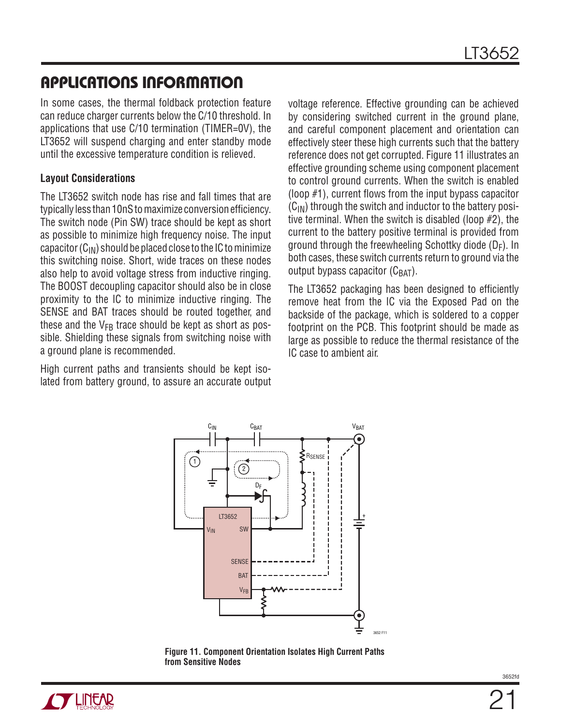In some cases, the thermal foldback protection feature can reduce charger currents below the C/10 threshold. In applications that use C/10 termination (TIMER=0V), the LT3652 will suspend charging and enter standby mode until the excessive temperature condition is relieved.

#### **Layout Considerations**

The LT3652 switch node has rise and fall times that are typically less than 10nS to maximize conversion efficiency. The switch node (Pin SW) trace should be kept as short as possible to minimize high frequency noise. The input capacitor  $(C_{IN})$  should be placed close to the IC to minimize this switching noise. Short, wide traces on these nodes also help to avoid voltage stress from inductive ringing. The BOOST decoupling capacitor should also be in close proximity to the IC to minimize inductive ringing. The SENSE and BAT traces should be routed together, and these and the  $V_{FB}$  trace should be kept as short as possible. Shielding these signals from switching noise with a ground plane is recommended.

High current paths and transients should be kept isolated from battery ground, to assure an accurate output voltage reference. Effective grounding can be achieved by considering switched current in the ground plane, and careful component placement and orientation can effectively steer these high currents such that the battery reference does not get corrupted. Figure 11 illustrates an effective grounding scheme using component placement to control ground currents. When the switch is enabled (loop #1), current flows from the input bypass capacitor  $(C_{IN})$  through the switch and inductor to the battery positive terminal. When the switch is disabled (loop #2), the current to the battery positive terminal is provided from ground through the freewheeling Schottky diode ( $D_F$ ). In both cases, these switch currents return to ground via the output bypass capacitor  $(C_{\text{BAT}})$ .

The LT3652 packaging has been designed to efficiently remove heat from the IC via the Exposed Pad on the backside of the package, which is soldered to a copper footprint on the PCB. This footprint should be made as large as possible to reduce the thermal resistance of the IC case to ambient air.



**Figure 11. Component Orientation Isolates High Current Paths from Sensitive Nodes**

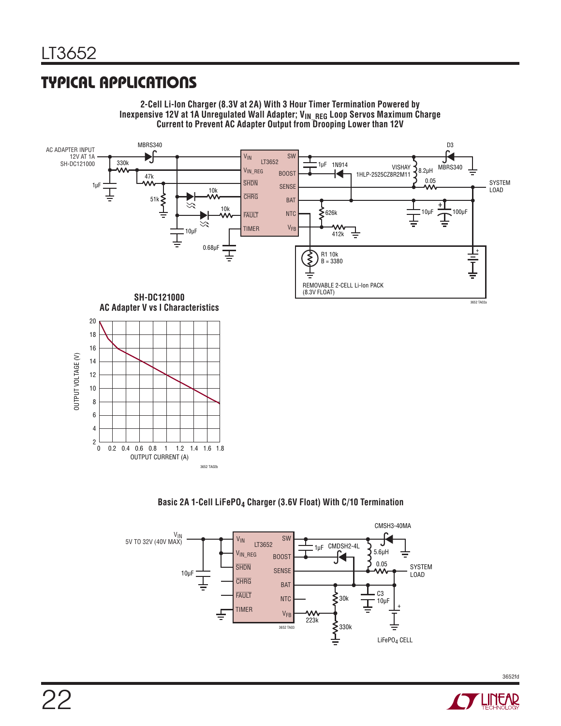## **TYPICAL APPLICATIONS**





#### Basic 2A 1-Cell LiFePO<sub>4</sub> Charger (3.6V Float) With C/10 Termination



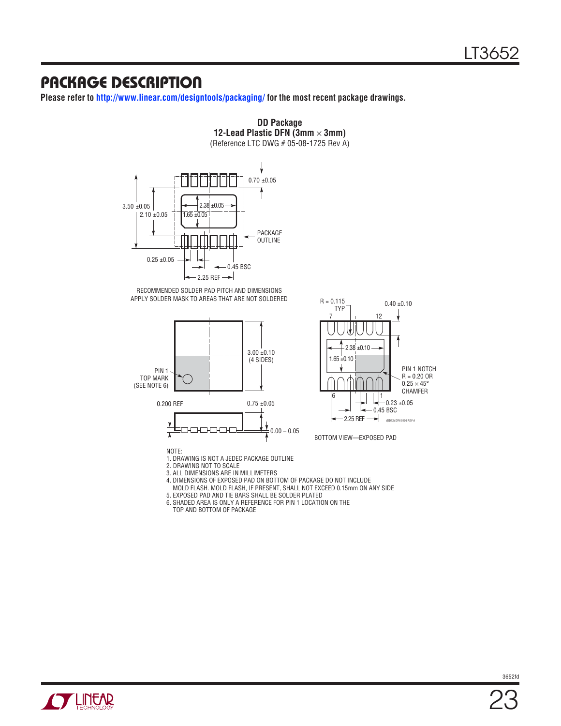### **PACKAGE DESCRIPTION**

**Please refer to http://www.linear.com/designtools/packaging/ for the most recent package drawings.**



**DD Package 12-Lead Plastic DFN (3mm**  $\times$  **3mm)** (Reference LTC DWG # 05-08-1725 Rev A)

RECOMMENDED SOLDER PAD PITCH AND DIMENSIONS APPLY SOLDER MASK TO AREAS THAT ARE NOT SOLDERED





BOTTOM VIEW—EXPOSED PAD

1. DRAWING IS NOT A JEDEC PACKAGE OUTLINE

2. DRAWING NOT TO SCALE

3. ALL DIMENSIONS ARE IN MILLIMETERS

- 4. DIMENSIONS OF EXPOSED PAD ON BOTTOM OF PACKAGE DO NOT INCLUDE
- MOLD FLASH. MOLD FLASH, IF PRESENT, SHALL NOT EXCEED 0.15mm ON ANY SIDE 5. EXPOSED PAD AND TIE BARS SHALL BE SOLDER PLATED

6. SHADED AREA IS ONLY A REFERENCE FOR PIN 1 LOCATION ON THE

TOP AND BOTTOM OF PACKAGE

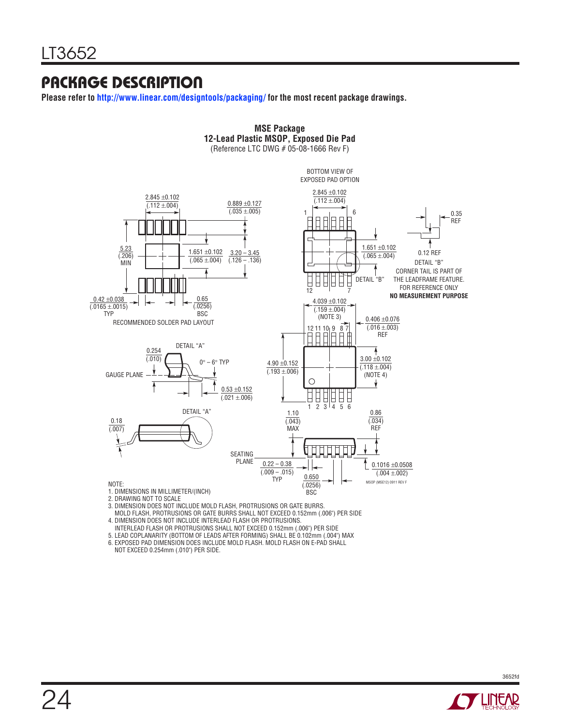### **PACKAGE DESCRIPTION**

**Please refer to http://www.linear.com/designtools/packaging/ for the most recent package drawings.**



**MSE Package**

3. DIMENSION DOES NOT INCLUDE MOLD FLASH, PROTRUSIONS OR GATE BURRS.

MOLD FLASH, PROTRUSIONS OR GATE BURRS SHALL NOT EXCEED 0.152mm (.006") PER SIDE

4. DIMENSION DOES NOT INCLUDE INTERLEAD FLASH OR PROTRUSIONS.

INTERLEAD FLASH OR PROTRUSIONS SHALL NOT EXCEED 0.152mm (.006") PER SIDE

5. LEAD COPLANARITY (BOTTOM OF LEADS AFTER FORMING) SHALL BE 0.102mm (.004") MAX

6. EXPOSED PAD DIMENSION DOES INCLUDE MOLD FLASH. MOLD FLASH ON E-PAD SHALL NOT EXCEED 0.254mm (.010") PER SIDE.

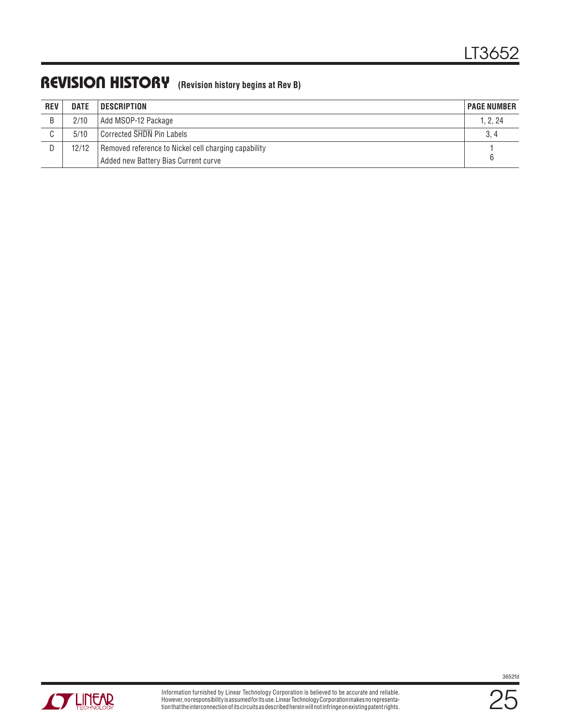### **REVISION HISTORY (Revision history begins at Rev B)**

| <b>REV</b>  | <b>DATE</b> | <b>DESCRIPTION</b>                                   | <b>PAGE NUMBER</b> |
|-------------|-------------|------------------------------------------------------|--------------------|
| B           | 2/10        | Add MSOP-12 Package                                  | 1, 2, 24           |
| $\sim$<br>U | 5/10        | Corrected SHDN Pin Labels                            | 3, 4               |
| D           | 12/12       | Removed reference to Nickel cell charging capability |                    |
|             |             | Added new Battery Bias Current curve                 |                    |